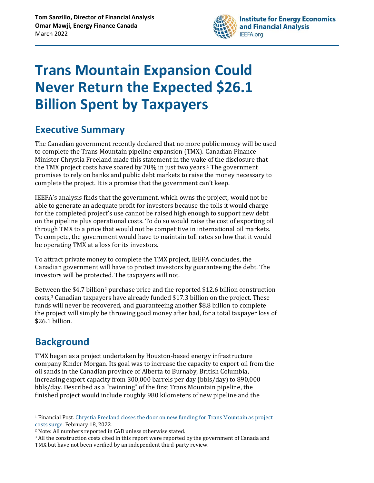

# **Trans Mountain Expansion Could Never Return the Expected \$26.1 Billion Spent by Taxpayers**

### **Executive Summary**

The Canadian government recently declared that no more public money will be used to complete the Trans Mountain pipeline expansion (TMX). Canadian Finance Minister Chrystia Freeland made this statement in the wake of the disclosure that the TMX project costs have soared by 70% in just two years. <sup>1</sup> The government promises to rely on banks and public debt markets to raise the money necessary to complete the project. It is a promise that the government can't keep.

IEEFA's analysis finds that the government, which owns the project, would not be able to generate an adequate profit for investors because the tolls it would charge for the completed project's use cannot be raised high enough to support new debt on the pipeline plus operational costs. To do so would raise the cost of exporting oil through TMX to a price that would not be competitive in international oil markets. To compete, the government would have to maintain toll rates so low that it would be operating TMX at a loss for its investors.

To attract private money to complete the TMX project, IEEFA concludes, the Canadian government will have to protect investors by guaranteeing the debt. The investors will be protected. The taxpayers will not.

Between the \$4.7 billion<sup>2</sup> purchase price and the reported \$12.6 billion construction costs,<sup>3</sup> Canadian taxpayers have already funded \$17.3 billion on the project. These funds will never be recovered, and guaranteeing another \$8.8 billion to complete the project will simply be throwing good money after bad, for a total taxpayer loss of \$26.1 billion.

# **Background**

TMX began as a project undertaken by Houston-based energy infrastructure company Kinder Morgan. Its goal was to increase the capacity to export oil from the oil sands in the Canadian province of Alberta to Burnaby, British Columbia, increasing export capacity from 300,000 barrels per day (bbls/day) to 890,000 bbls/day. Described as a "twinning" of the first Trans Mountain pipeline, the finished project would include roughly 980 kilometers of new pipeline and the

<sup>1</sup> Financial Post. [Chrystia Freeland closes the door on new funding for Trans Mountain as project](https://financialpost.com/commodities/energy/oil-gas/chrystia-freeland-closes-the-door-on-new-funding-for-trans-mountain-as-project-costs-surge)  [costs surge.](https://financialpost.com/commodities/energy/oil-gas/chrystia-freeland-closes-the-door-on-new-funding-for-trans-mountain-as-project-costs-surge) February 18, 2022.

<sup>2</sup> Note: All numbers reported in CAD unless otherwise stated.

<sup>&</sup>lt;sup>3</sup> All the construction costs cited in this report were reported by the government of Canada and TMX but have not been verified by an independent third-party review.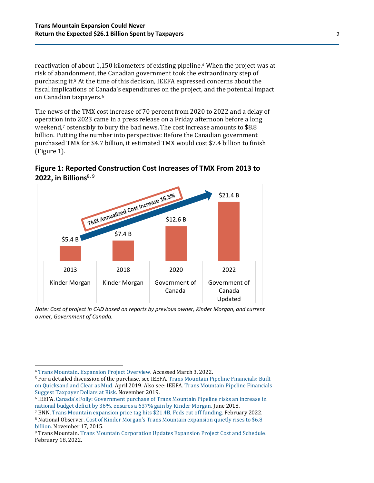reactivation of about 1,150 kilometers of existing pipeline.<sup>4</sup> When the project was at risk of abandonment, the Canadian government took the extraordinary step of purchasing it.<sup>5</sup> At the time of this decision, IEEFA expressed concerns about the fiscal implications of Canada's expenditures on the project, and the potential impact on Canadian taxpayers.<sup>6</sup>

The news of the TMX cost increase of 70 percent from 2020 to 2022 and a delay of operation into 2023 came in a press release on a Friday afternoon before a long weekend,<sup>7</sup> ostensibly to bury the bad news. The cost increase amounts to \$8.8 billion. Putting the number into perspective: Before the Canadian government purchased TMX for \$4.7 billion, it estimated TMX would cost \$7.4 billion to finish (Figure 1).





*Note: Cost of project in CAD based on reports by previous owner, Kinder Morgan, and current owner, Government of Canada.* 

<sup>4</sup> Trans Mountain. [Expansion Project](https://www.transmountain.com/project-overview) Overview. Accessed March 3, 2022.

<sup>5</sup> For a detailed discussion of the purchase, see IEEFA[. Trans Mountain Pipeline Financials: Built](https://ieefa.org/wp-content/uploads/2019/04/Trans-Mountain-Pipeline-Financials_April-2019.pdf)  [on Quicksand and Clear as Mud.](https://ieefa.org/wp-content/uploads/2019/04/Trans-Mountain-Pipeline-Financials_April-2019.pdf) April 2019. Also see: IEEFA[. Trans Mountain Pipeline Financials](https://ieefa.org/wp-content/uploads/2019/11/Trans-Mountain-Pipeline-Financials-Suggest-Taxpayer-Dollars-at-Risk_November-2019.pdf)  [Suggest Taxpayer Dollars at Risk.](https://ieefa.org/wp-content/uploads/2019/11/Trans-Mountain-Pipeline-Financials-Suggest-Taxpayer-Dollars-at-Risk_November-2019.pdf) November 2019.

<sup>6</sup> IEEFA. [Canada's Folly: Government purchase of Trans Mountain Pipeline risks an increase in](https://ieefa.org/wp-content/uploads/2018/06/Canadas-Folly_June-2018.pdf)  [national budget deficit by 36%, ensures a 637% gain by Kinder Morgan.](https://ieefa.org/wp-content/uploads/2018/06/Canadas-Folly_June-2018.pdf) June 2018.

<sup>7</sup> BNN. [Trans Mountain expansion price tag hits \\$21.4B, Feds cut off funding.](https://www.bnnbloomberg.ca/trans-mountain-expansion-price-tag-hits-21-4b-feds-cut-off-funding-1.1725621) February 2022.

<sup>8</sup> National Observer. [Cost of Kinder Morgan's Trans Mountain expansion quietly rises to \\$6.8](https://docs2.cer-rec.gc.ca/ll-eng/llisapi.dll/fetch/2000/90464/90552/548311/956726/2392873/2449925/2450531/2872233/C69-59-7_-_6._Cost_of_Kinder_Morgan_s_Trans_Mountain_expansion_quietly_rises_to_%246.8_billion__National_Observer_-_A4W1I4.pdf?nodeid=2872235&vernum=-2)  [billion.](https://docs2.cer-rec.gc.ca/ll-eng/llisapi.dll/fetch/2000/90464/90552/548311/956726/2392873/2449925/2450531/2872233/C69-59-7_-_6._Cost_of_Kinder_Morgan_s_Trans_Mountain_expansion_quietly_rises_to_%246.8_billion__National_Observer_-_A4W1I4.pdf?nodeid=2872235&vernum=-2) November 17, 2015.

<sup>9</sup> Trans Mountain. [Trans Mountain Corporation Updates Expansion Project Cost and Schedule.](https://www.transmountain.com/news/2022/trans-mountain-corporation-updates-expansion-project-cost-and-schedule)  February 18, 2022.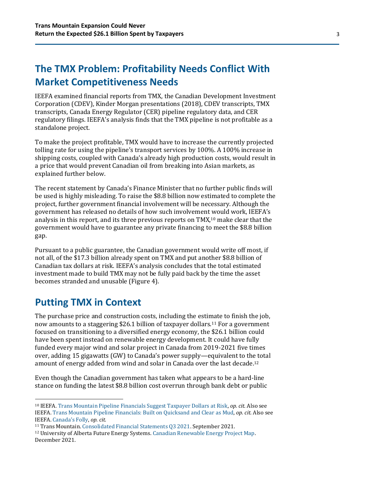## **The TMX Problem: Profitability Needs Conflict With Market Competitiveness Needs**

IEEFA examined financial reports from TMX, the Canadian Development Investment Corporation (CDEV), Kinder Morgan presentations (2018), CDEV transcripts, TMX transcripts, Canada Energy Regulator (CER) pipeline regulatory data, and CER regulatory filings. IEEFA's analysis finds that the TMX pipeline is not profitable as a standalone project.

To make the project profitable, TMX would have to increase the currently projected tolling rate for using the pipeline's transport services by 100%. A 100% increase in shipping costs, coupled with Canada's already high production costs, would result in a price that would prevent Canadian oil from breaking into Asian markets, as explained further below.

The recent statement by Canada's Finance Minister that no further public finds will be used is highly misleading. To raise the \$8.8 billion now estimated to complete the project, further government financial involvement will be necessary. Although the government has released no details of how such involvement would work, IEEFA's analysis in this report, and its three previous reports on TMX, <sup>10</sup> make clear that the government would have to guarantee any private financing to meet the \$8.8 billion gap.

Pursuant to a public guarantee, the Canadian government would write off most, if not all, of the \$17.3 billion already spent on TMX and put another \$8.8 billion of Canadian tax dollars at risk. IEEFA's analysis concludes that the total estimated investment made to build TMX may not be fully paid back by the time the asset becomes stranded and unusable (Figure 4).

#### **Putting TMX in Context**

The purchase price and construction costs, including the estimate to finish the job, now amounts to a staggering \$26.1 billion of taxpayer dollars.<sup>11</sup> For a government focused on transitioning to a diversified energy economy, the \$26.1 billion could have been spent instead on renewable energy development. It could have fully funded every major wind and solar project in Canada from 2019-2021 five times over, adding 15 gigawatts (GW) to Canada's power supply—equivalent to the total amount of energy added from wind and solar in Canada over the last decade. 12

Even though the Canadian government has taken what appears to be a hard-line stance on funding the latest \$8.8 billion cost overrun through bank debt or public

<sup>10</sup> IEEFA. [Trans Mountain Pipeline Financials Suggest Taxpayer Dollars at Risk,](https://ieefa.org/wp-content/uploads/2019/11/Trans-Mountain-Pipeline-Financials-Suggest-Taxpayer-Dollars-at-Risk_November-2019.pdf) *op. cit.* Also see IEEFA[. Trans Mountain Pipeline Financials: Built on Quicksand and Clear as](https://ieefa.org/wp-content/uploads/2019/04/Trans-Mountain-Pipeline-Financials_April-2019.pdf) Mud, *op. cit.* Also see IEEFA. [Canada's Folly](https://ieefa.org/wp-content/uploads/2018/06/Canadas-Folly_June-2018.pdf), *op. cit.*

<sup>11</sup> Trans Mountain. [Consolidated Financial Statements Q3 2021.](https://docs.transmountain.com/TMC-FS-9-30-21-FINAL.pdf?mtime=20211129225915#asset:32479) September 2021.

<sup>12</sup> University of Alberta Future Energy Systems[. Canadian Renewable Energy Project Map.](https://www.futureenergysystems.ca/resources/renewable-energy-projects-canada) December 2021.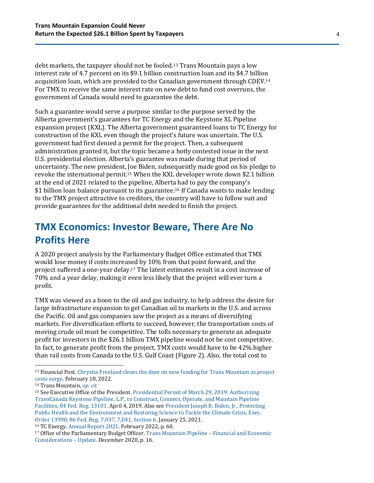debt markets, the taxpayer should not be fooled.<sup>13</sup> Trans Mountain pays a low interest rate of 4.7 percent on its \$9.1 billion construction loan and its \$4.7 billion acquisition loan, which are provided to the Canadian government through CDEV. 14 For TMX to receive the same interest rate on new debt to fund cost overruns, the government of Canada would need to guarantee the debt.

Such a guarantee would serve a purpose similar to the purpose served by the Alberta government's guarantees for TC Energy and the Keystone XL Pipeline expansion project (KXL). The Alberta government guaranteed loans to TC Energy for construction of the KXL even though the project's future was uncertain. The U.S. government had first denied a permit for the project. Then, a subsequent administration granted it, but the topic became a hotly contested issue in the next U.S. presidential election. Alberta's guarantee was made during that period of uncertainty. The new president, Joe Biden, subsequently made good on his pledge to revoke the international permit. <sup>15</sup> When the KXL developer wrote down \$2.1 billion at the end of 2021 related to the pipeline, Alberta had to pay the company's \$1 billion loan balance pursuant to its guarantee. <sup>16</sup> If Canada wants to make lending to the TMX project attractive to creditors, the country will have to follow suit and provide guarantees for the additional debt needed to finish the project.

#### **TMX Economics: Investor Beware, There Are No Profits Here**

A 2020 project analysis by the Parliamentary Budget Office estimated that TMX would lose money if costs increased by 10% from that point forward, and the project suffered a one-year delay.<sup>17</sup> The latest estimates result in a cost increase of 70% and a year delay, making it even less likely that the project will ever turn a profit.

TMX was viewed as a boon to the oil and gas industry, to help address the desire for large infrastructure expansion to get Canadian oil to markets in the U.S. and across the Pacific. Oil and gas companies saw the project as a means of diversifying markets. For diversification efforts to succeed, however, the transportation costs of moving crude oil must be competitive. The tolls necessary to generate an adequate profit for investors in the \$26.1 billion TMX pipeline would not be cost competitive. In fact, to generate profit from the project, TMX costs would have to be 42% higher than rail costs from Canada to the U.S. Gulf Coast (Figure 2). Also, the total cost to

<sup>13</sup> Financial Post. [Chrystia Freeland closes the door on new funding for Trans Mountain as project](https://financialpost.com/commodities/energy/oil-gas/chrystia-freeland-closes-the-door-on-new-funding-for-trans-mountain-as-project-costs-surge)  [costs surge.](https://financialpost.com/commodities/energy/oil-gas/chrystia-freeland-closes-the-door-on-new-funding-for-trans-mountain-as-project-costs-surge) February 18, 2022.

<sup>14</sup> Trans Mountain, *[op. cit.](https://docs.transmountain.com/TMC-FS-9-30-21-FINAL.pdf?mtime=20211129225915#asset:32479)*

<sup>15</sup> See Executive Office of the President. [Presidential Permit of March 29, 2019: Authorizing](https://www.federalregister.gov/documents/2019/04/03/2019-06654/authorizing-transcanada-keystone-pipeline-lp-to-construct-connect-operate-and-maintain-pipeline)  [TransCanada Keystone Pipeline, L.P., to Construct, Connect, Operate, and Maintain Pipeline](https://www.federalregister.gov/documents/2019/04/03/2019-06654/authorizing-transcanada-keystone-pipeline-lp-to-construct-connect-operate-and-maintain-pipeline)  [Facilities, 84 Fed. Reg. 13101.](https://www.federalregister.gov/documents/2019/04/03/2019-06654/authorizing-transcanada-keystone-pipeline-lp-to-construct-connect-operate-and-maintain-pipeline) April 4, 2019. Also see [President Joseph R. Biden, Jr., Protecting](https://www.whitehouse.gov/briefing-room/presidential-actions/2021/01/20/executive-order-protecting-public-health-and-environment-and-restoring-science-to-tackle-climate-crisis/)  [Public Health and the Environment and Restoring Science to Tackle the Climate Crisis, Exec.](https://www.whitehouse.gov/briefing-room/presidential-actions/2021/01/20/executive-order-protecting-public-health-and-environment-and-restoring-science-to-tackle-climate-crisis/)  [Order 13990, 86 Fed. Reg. 7,037, 7,041, Section 6.](https://www.whitehouse.gov/briefing-room/presidential-actions/2021/01/20/executive-order-protecting-public-health-and-environment-and-restoring-science-to-tackle-climate-crisis/) January 25, 2021.

<sup>16</sup> TC Energy. [Annual Report 2021.](https://www.tcenergy.com/siteassets/pdfs/investors/reports-and-filings/annual-and-quarterly-reports/2021/tc-2021-annual-report.pdf) February 2022, p. 60.

<sup>17</sup> Office of the Parliamentary Budget Officer[. Trans Mountain Pipeline](https://pbo-dpb.s3.ca-central-1.amazonaws.com/artefacts/92190f47fd14ad10e711d7e90963c3fbe28d48cfb2dc0195d8387d29694d37e0) – Financial and Economic [Considerations](https://pbo-dpb.s3.ca-central-1.amazonaws.com/artefacts/92190f47fd14ad10e711d7e90963c3fbe28d48cfb2dc0195d8387d29694d37e0) – Update. December 2020, p. 16.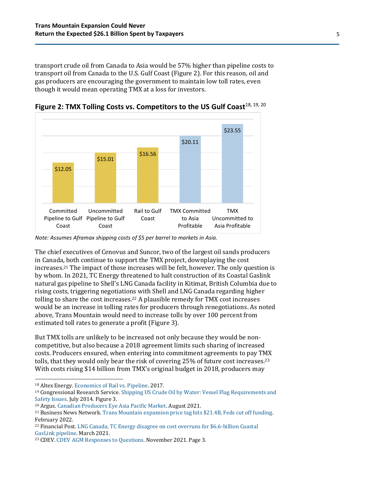transport crude oil from Canada to Asia would be 57% higher than pipeline costs to transport oil from Canada to the U.S. Gulf Coast (Figure 2). For this reason, oil and gas producers are encouraging the government to maintain low toll rates, even though it would mean operating TMX at a loss for investors.



Figure 2: TMX Tolling Costs vs. Competitors to the US Gulf Coast<sup>18, 19, 20</sup>

*Note: Assumes Aframax shipping costs of \$5 per barrel to markets in Asia.*

The chief executives of Cenovus and Suncor, two of the largest oil sands producers in Canada, both continue to support the TMX project, downplaying the cost increases. <sup>21</sup> The impact of those increases will be felt, however. The only question is by whom. In 2021, TC Energy threatened to halt construction of its Coastal Gaslink natural gas pipeline to Shell's LNG Canada facility in Kitimat, British Columbia due to rising costs, triggering negotiations with Shell and LNG Canada regarding higher tolling to share the cost increases.<sup>22</sup> A plausible remedy for TMX cost increases would be an increase in tolling rates for producers through renegotiations. As noted above, Trans Mountain would need to increase tolls by over 100 percent from estimated toll rates to generate a profit (Figure 3).

But TMX tolls are unlikely to be increased not only because they would be noncompetitive, but also because a 2018 agreement limits such sharing of increased costs. Producers ensured, when entering into commitment agreements to pay TMX tolls, that they would only bear the risk of covering 25% of future cost increases.<sup>23</sup> With costs rising \$14 billion from TMX's original budget in 2018, producers may

<sup>18</sup> Altex Energy. [Economics of Rail vs. Pipeline.](https://www.altex-energy.com/economics-of-rail-versus-pipeline/#1501825867276-5ecfdbe6-bed4) 2017.

<sup>19</sup> Congressional Research Service[. Shipping US Crude Oil by Water: Vessel Flag Requirements and](https://sgp.fas.org/crs/misc/R43653.pdf)  [Safety Issues.](https://sgp.fas.org/crs/misc/R43653.pdf) July 2014. Figure 3.

<sup>20</sup> Argus. [Canadian Producers Eye Asia Pacific Market.](https://www.argusmedia.com/en/news/2242328-canadian-producers-eye-asiapacific-market) August 2021.

<sup>21</sup> Business News Network[. Trans Mountain expansion price tag hits \\$21.4B, Feds cut off funding.](https://www.bnnbloomberg.ca/trans-mountain-expansion-price-tag-hits-21-4b-feds-cut-off-funding-1.1725621)  February 2022.

<sup>22</sup> Financial Post. [LNG Canada, TC Energy disagree on cost overruns for \\$6.6-billion Coastal](https://financialpost.com/commodities/energy/lng-canada-tc-energy-disagree-on-cost-overruns-for-6-6-billion-coastal-gaslink-pipeline)  [GasLink pipeline.](https://financialpost.com/commodities/energy/lng-canada-tc-energy-disagree-on-cost-overruns-for-6-6-billion-coastal-gaslink-pipeline) March 2021.

<sup>23</sup> CDEV. [CDEV AGM Responses to Questions.](https://wcel.org/sites/default/files/medialib/211116_questions_for_cdev_agm_submitted_final_nov_16_003.pdf) November 2021. Page 3.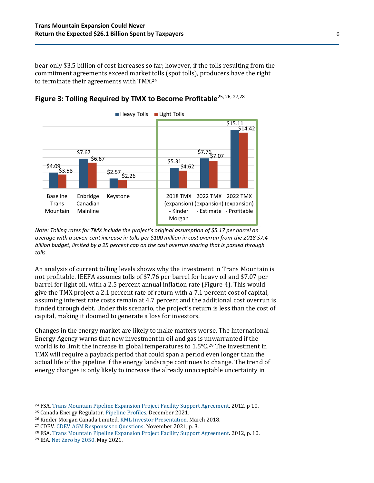bear only \$3.5 billion of cost increases so far; however, if the tolls resulting from the commitment agreements exceed market tolls (spot tolls), producers have the right to terminate their agreements with TMX.<sup>24</sup>



**Figure 3: Tolling Required by TMX to Become Profitable**25, 26, 27,28

*Note: Tolling rates for TMX include the project's original assumption of \$5.17 per barrel on average with a seven-cent increase in tolls per \$100 million in cost overrun from the 2018 \$7.4 billion budget, limited by a 25 percent cap on the cost overrun sharing that is passed through tolls.*

An analysis of current tolling levels shows why the investment in Trans Mountain is not profitable. IEEFA assumes tolls of \$7.76 per barrel for heavy oil and \$7.07 per barrel for light oil, with a 2.5 percent annual inflation rate (Figure 4). This would give the TMX project a 2.1 percent rate of return with a 7.1 percent cost of capital, assuming interest rate costs remain at 4.7 percent and the additional cost overrun is funded through debt. Under this scenario, the project's return is less than the cost of capital, making it doomed to generate a loss for investors.

Changes in the energy market are likely to make matters worse. The International Energy Agency warns that new investment in oil and gas is unwarranted if the world is to limit the increase in global temperatures to  $1.5^{\circ}C^{29}$  The investment in TMX will require a payback period that could span a period even longer than the actual life of the pipeline if the energy landscape continues to change. The trend of energy changes is only likely to increase the already unacceptable uncertainty in

<sup>&</sup>lt;sup>24</sup> FSA. [Trans Mountain Pipeline Expansion Project Facility Support Agreement.](https://docs2.cer-rec.gc.ca/ll-eng/llisapi.dll/fetch/2000/90465/92835/552980/954292/828580/865601/901928/B15-22_-_Appendix_7_Final_form_of_the_FSA_-_A3E7D3_.pdf?nodeid=902023&vernum=-2) 2012, p 10.

<sup>25</sup> Canada Energy Regulator. [Pipeline Profiles.](https://www.cer-rec.gc.ca/en/data-analysis/facilities-we-regulate/pipeline-profiles/index.html) December 2021.

<sup>26</sup> Kinder Morgan Canada Limited. [KML Investor Presentation.](file:///C:/Users/omarm/Downloads/KML%20Investor%20Day+2.22.18+NDR+(DM)+vF.pdf) March 2018.

<sup>27</sup> CDEV. [CDEV AGM Responses to Questions.](https://wcel.org/sites/default/files/medialib/211116_questions_for_cdev_agm_submitted_final_nov_16_003.pdf) November 2021, p. 3.

<sup>28</sup> FSA. [Trans Mountain Pipeline Expansion Project Facility Support Agreement.](https://docs2.cer-rec.gc.ca/ll-eng/llisapi.dll/fetch/2000/90465/92835/552980/954292/828580/865601/901928/B15-22_-_Appendix_7_Final_form_of_the_FSA_-_A3E7D3_.pdf?nodeid=902023&vernum=-2) 2012, p. 10.

<sup>29</sup> IEA. [Net Zero by 2050.](https://www.iea.org/reports/net-zero-by-2050) May 2021.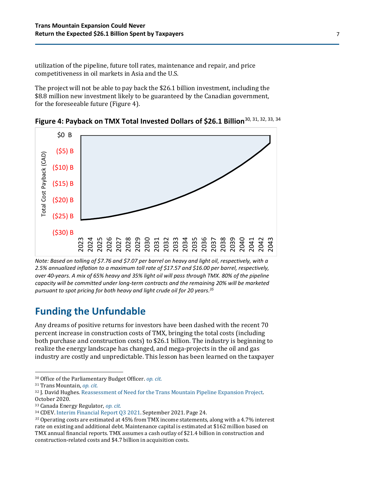utilization of the pipeline, future toll rates, maintenance and repair, and price competitiveness in oil markets in Asia and the U.S.

The project will not be able to pay back the \$26.1 billion investment, including the \$8.8 million new investment likely to be guaranteed by the Canadian government, for the foreseeable future (Figure 4).





*Note: Based on tolling of \$7.76 and \$7.07 per barrel on heavy and light oil, respectively, with a 2.5% annualized inflation to a maximum toll rate of \$17.57 and \$16.00 per barrel, respectively, over 40-years. A mix of 65% heavy and 35% light oil will pass through TMX. 80% of the pipeline capacity will be committed under long-term contracts and the remaining 20% will be marketed pursuant to spot pricing for both heavy and light crude oil for 20 years. 35*

#### **Funding the Unfundable**

Any dreams of positive returns for investors have been dashed with the recent 70 percent increase in construction costs of TMX, bringing the total costs (including both purchase and construction costs) to \$26.1 billion. The industry is beginning to realize the energy landscape has changed, and mega-projects in the oil and gas industry are costly and unpredictable. This lesson has been learned on the taxpayer

<sup>30</sup> Office of the Parliamentary Budget Officer. *[op. cit.](https://pbo-dpb.s3.ca-central-1.amazonaws.com/artefacts/92190f47fd14ad10e711d7e90963c3fbe28d48cfb2dc0195d8387d29694d37e0)*

<sup>31</sup> Trans Mountain, *[op. cit.](https://docs.transmountain.com/TMC-FS-9-30-21-FINAL.pdf?mtime=20211129225915#asset:32479)*

<sup>32</sup> J. David Hughes[. Reassessment of Need for the Trans Mountain Pipeline Expansion Project.](https://www.policyalternatives.ca/sites/default/files/uploads/publications/BC%20Office/2020/10/ccpa-bc_reassessment-of-need-for-TMX-FINAL.pdf)  October 2020.

<sup>33</sup> Canada Energy Regulator, *[op. cit.](https://www.cer-rec.gc.ca/en/data-analysis/facilities-we-regulate/pipeline-profiles/index.html)*

<sup>34</sup> CDEV. [Interim Financial Report Q3 2021.](https://www.cdev.gc.ca/wp-content/uploads/2021/11/CDEV-Q3-2021-Quarterly-Report-Final.pdf) September 2021. Page 24.

*<sup>35</sup>* Operating costs are estimated at 45% from TMX income statements, along with a 4.7% interest rate on existing and additional debt. Maintenance capital is estimated at \$162 million based on TMX annual financial reports. TMX assumes a cash outlay of \$21.4 billion in construction and construction-related costs and \$4.7 billion in acquisition costs.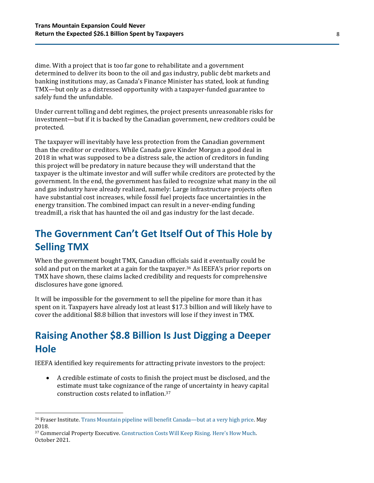dime. With a project that is too far gone to rehabilitate and a government determined to deliver its boon to the oil and gas industry, public debt markets and banking institutions may, as Canada's Finance Minister has stated, look at funding TMX—but only as a distressed opportunity with a taxpayer-funded guarantee to safely fund the unfundable.

Under current tolling and debt regimes, the project presents unreasonable risks for investment—but if it is backed by the Canadian government, new creditors could be protected.

The taxpayer will inevitably have less protection from the Canadian government than the creditor or creditors. While Canada gave Kinder Morgan a good deal in 2018 in what was supposed to be a distress sale, the action of creditors in funding this project will be predatory in nature because they will understand that the taxpayer is the ultimate investor and will suffer while creditors are protected by the government. In the end, the government has failed to recognize what many in the oil and gas industry have already realized, namely: Large infrastructure projects often have substantial cost increases, while fossil fuel projects face uncertainties in the energy transition. The combined impact can result in a never-ending funding treadmill, a risk that has haunted the oil and gas industry for the last decade.

### **The Government Can't Get Itself Out of This Hole by Selling TMX**

When the government bought TMX, Canadian officials said it eventually could be sold and put on the market at a gain for the taxpayer.<sup>36</sup> As IEEFA's prior reports on TMX have shown, these claims lacked credibility and requests for comprehensive disclosures have gone ignored.

It will be impossible for the government to sell the pipeline for more than it has spent on it. Taxpayers have already lost at least \$17.3 billion and will likely have to cover the additional \$8.8 billion that investors will lose if they invest in TMX.

## **Raising Another \$8.8 Billion Is Just Digging a Deeper Hole**

IEEFA identified key requirements for attracting private investors to the project:

• A credible estimate of costs to finish the project must be disclosed, and the estimate must take cognizance of the range of uncertainty in heavy capital construction costs related to inflation. 37

<sup>36</sup> Fraser Institute[. Trans Mountain pipeline will benefit Canada](https://www.fraserinstitute.org/article/trans-mountain-pipeline-will-benefit-canada-but-at-a-very-high-price)—but at a very high price. May 2018.

<sup>37</sup> Commercial Property Executive. [Construction Costs Will Keep Rising. Here's How Much](https://www.commercialsearch.com/news/construction-costs-will-keep-rising-heres-how-much/). October 2021.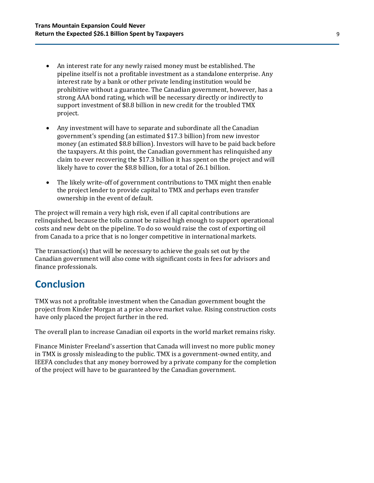- An interest rate for any newly raised money must be established. The pipeline itself is not a profitable investment as a standalone enterprise. Any interest rate by a bank or other private lending institution would be prohibitive without a guarantee. The Canadian government, however, has a strong AAA bond rating, which will be necessary directly or indirectly to support investment of \$8.8 billion in new credit for the troubled TMX project.
- Any investment will have to separate and subordinate all the Canadian government's spending (an estimated \$17.3 billion) from new investor money (an estimated \$8.8 billion). Investors will have to be paid back before the taxpayers. At this point, the Canadian government has relinquished any claim to ever recovering the \$17.3 billion it has spent on the project and will likely have to cover the \$8.8 billion, for a total of 26.1 billion.
- The likely write-off of government contributions to TMX might then enable the project lender to provide capital to TMX and perhaps even transfer ownership in the event of default.

The project will remain a very high risk, even if all capital contributions are relinquished, because the tolls cannot be raised high enough to support operational costs and new debt on the pipeline. To do so would raise the cost of exporting oil from Canada to a price that is no longer competitive in international markets.

The transaction(s) that will be necessary to achieve the goals set out by the Canadian government will also come with significant costs in fees for advisors and finance professionals.

#### **Conclusion**

TMX was not a profitable investment when the Canadian government bought the project from Kinder Morgan at a price above market value. Rising construction costs have only placed the project further in the red.

The overall plan to increase Canadian oil exports in the world market remains risky.

Finance Minister Freeland's assertion that Canada will invest no more public money in TMX is grossly misleading to the public. TMX is a government-owned entity, and IEEFA concludes that any money borrowed by a private company for the completion of the project will have to be guaranteed by the Canadian government.